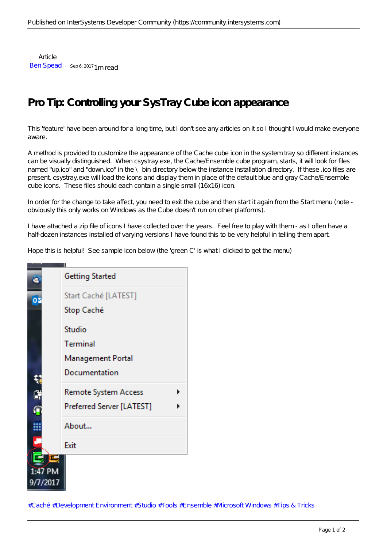Article [Ben Spead](https://community.intersystems.com/user/ben-spead-0) · Sep 6, 2017 1 m read

## **Pro Tip: Controlling your SysTray Cube icon appearance**

This 'feature' have been around for a long time, but I don't see any articles on it so I thought I would make everyone aware.

A method is provided to customize the appearance of the Cache cube icon in the system tray so different instances can be visually distinguished. When csystray.exe, the Cache/Ensemble cube program, starts, it will look for files named "up.ico" and "down.ico" in the  $\setminus$  bin directory below the instance installation directory. If these .ico files are present, csystray.exe will load the icons and display them in place of the default blue and gray Cache/Ensemble cube icons. These files should each contain a single small (16x16) icon.

In order for the change to take affect, you need to exit the cube and then start it again from the Start menu (note obviously this only works on Windows as the Cube doesn't run on other platforms).

I have attached a zip file of icons I have collected over the years. Feel free to play with them - as I often have a half-dozen instances installed of varying versions I have found this to be very helpful in telling them apart.

Hope this is helpful! See sample icon below (the 'green C' is what I clicked to get the menu)



[#Caché](https://community.intersystems.com/tags/cach%C3%A9) [#Development Environment](https://community.intersystems.com/tags/development-environment) [#Studio](https://community.intersystems.com/tags/studio) [#Tools](https://community.intersystems.com/tags/tools) [#Ensemble](https://community.intersystems.com/tags/ensemble) [#Microsoft Windows](https://community.intersystems.com/tags/microsoft-windows) [#Tips & Tricks](https://community.intersystems.com/tags/tips-tricks)